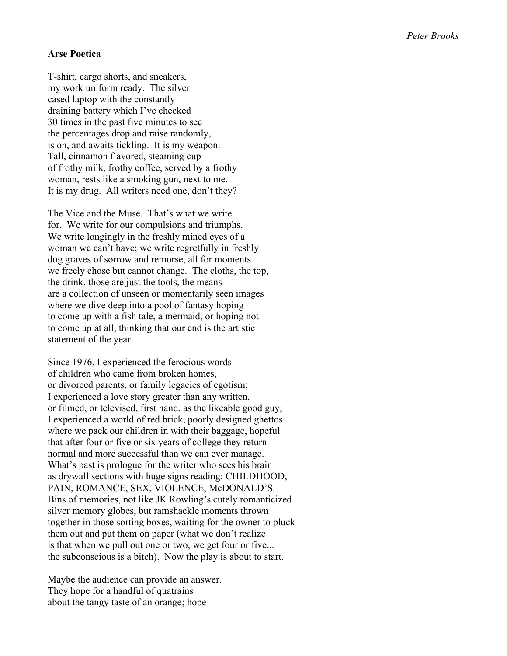## **Arse Poetica**

T-shirt, cargo shorts, and sneakers, my work uniform ready. The silver cased laptop with the constantly draining battery which I've checked 30 times in the past five minutes to see the percentages drop and raise randomly, is on, and awaits tickling. It is my weapon. Tall, cinnamon flavored, steaming cup of frothy milk, frothy coffee, served by a frothy woman, rests like a smoking gun, next to me. It is my drug. All writers need one, don't they?

The Vice and the Muse. That's what we write for. We write for our compulsions and triumphs. We write longingly in the freshly mined eyes of a woman we can't have; we write regretfully in freshly dug graves of sorrow and remorse, all for moments we freely chose but cannot change. The cloths, the top, the drink, those are just the tools, the means are a collection of unseen or momentarily seen images where we dive deep into a pool of fantasy hoping to come up with a fish tale, a mermaid, or hoping not to come up at all, thinking that our end is the artistic statement of the year.

Since 1976, I experienced the ferocious words of children who came from broken homes, or divorced parents, or family legacies of egotism; I experienced a love story greater than any written, or filmed, or televised, first hand, as the likeable good guy; I experienced a world of red brick, poorly designed ghettos where we pack our children in with their baggage, hopeful that after four or five or six years of college they return normal and more successful than we can ever manage. What's past is prologue for the writer who sees his brain as drywall sections with huge signs reading: CHILDHOOD, PAIN, ROMANCE, SEX, VIOLENCE, McDONALD'S. Bins of memories, not like JK Rowling's cutely romanticized silver memory globes, but ramshackle moments thrown together in those sorting boxes, waiting for the owner to pluck them out and put them on paper (what we don't realize is that when we pull out one or two, we get four or five... the subconscious is a bitch). Now the play is about to start.

Maybe the audience can provide an answer. They hope for a handful of quatrains about the tangy taste of an orange; hope